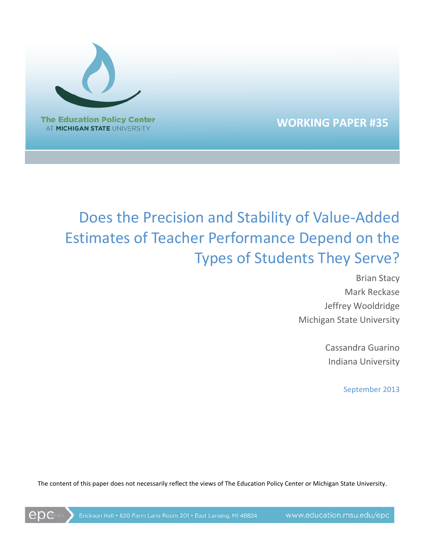

epc

# **WORKING PAPER #35**

# Does the Precision and Stability of Value-Added Estimates of Teacher Performance Depend on the Types of Students They Serve?

Brian Stacy Mark Reckase Jeffrey Wooldridge Michigan State University

> Cassandra Guarino Indiana University

> > September 2013

The content of this paper does not necessarily reflect the views of The Education Policy Center or Michigan State University.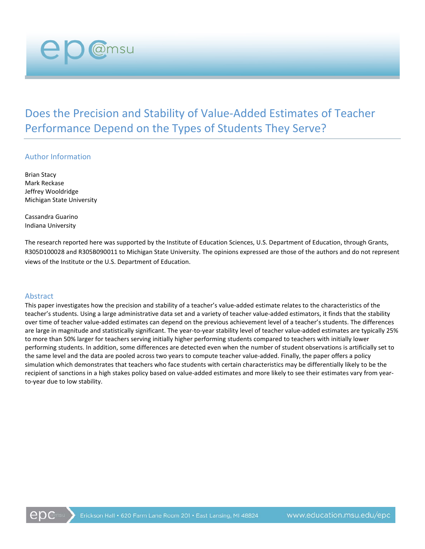Does the Precision and Stability of Value-Added Estimates of Teacher Performance Depend on the Types of Students They Serve?

#### Author Information

@msu

Brian Stacy Mark Reckase Jeffrey Wooldridge Michigan State University

Cassandra Guarino Indiana University

The research reported here was supported by the Institute of Education Sciences, U.S. Department of Education, through Grants, R305D100028 and R305B090011 to Michigan State University. The opinions expressed are those of the authors and do not represent views of the Institute or the U.S. Department of Education.

#### Abstract

This paper investigates how the precision and stability of a teacher's value-added estimate relates to the characteristics of the teacher's students. Using a large administrative data set and a variety of teacher value-added estimators, it finds that the stability over time of teacher value-added estimates can depend on the previous achievement level of a teacher's students. The differences are large in magnitude and statistically significant. The year-to-year stability level of teacher value-added estimates are typically 25% to more than 50% larger for teachers serving initially higher performing students compared to teachers with initially lower performing students. In addition, some differences are detected even when the number of student observations is artificially set to the same level and the data are pooled across two years to compute teacher value-added. Finally, the paper offers a policy simulation which demonstrates that teachers who face students with certain characteristics may be differentially likely to be the recipient of sanctions in a high stakes policy based on value-added estimates and more likely to see their estimates vary from yearto-year due to low stability.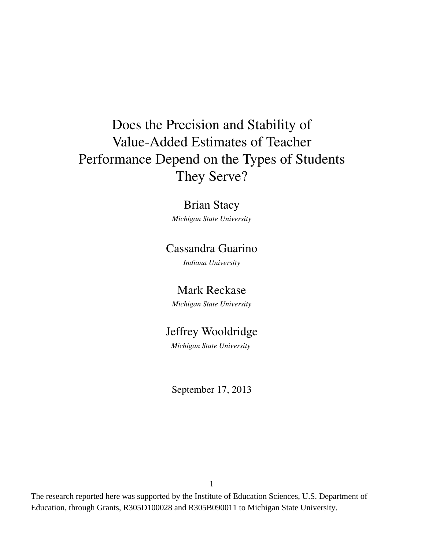# Does the Precision and Stability of Value-Added Estimates of Teacher Performance Depend on the Types of Students They Serve?

# Brian Stacy

*Michigan State University*

# Cassandra Guarino

*Indiana University*

## Mark Reckase

*Michigan State University*

# Jeffrey Wooldridge

*Michigan State University*

September 17, 2013

The research reported here was supported by the Institute of Education Sciences, U.S. Department of Education, through Grants, R305D100028 and R305B090011 to Michigan State University.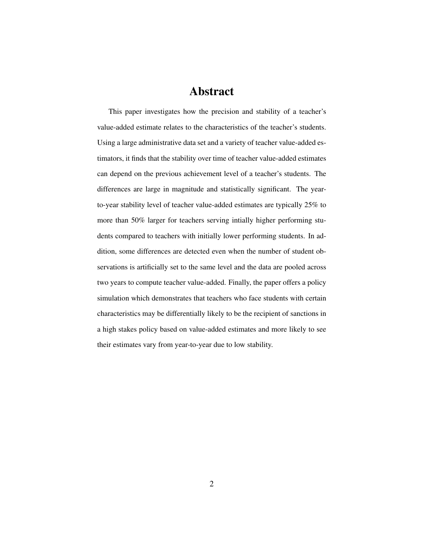## Abstract

This paper investigates how the precision and stability of a teacher's value-added estimate relates to the characteristics of the teacher's students. Using a large administrative data set and a variety of teacher value-added estimators, it finds that the stability over time of teacher value-added estimates can depend on the previous achievement level of a teacher's students. The differences are large in magnitude and statistically significant. The yearto-year stability level of teacher value-added estimates are typically 25% to more than 50% larger for teachers serving intially higher performing students compared to teachers with initially lower performing students. In addition, some differences are detected even when the number of student observations is artificially set to the same level and the data are pooled across two years to compute teacher value-added. Finally, the paper offers a policy simulation which demonstrates that teachers who face students with certain characteristics may be differentially likely to be the recipient of sanctions in a high stakes policy based on value-added estimates and more likely to see their estimates vary from year-to-year due to low stability.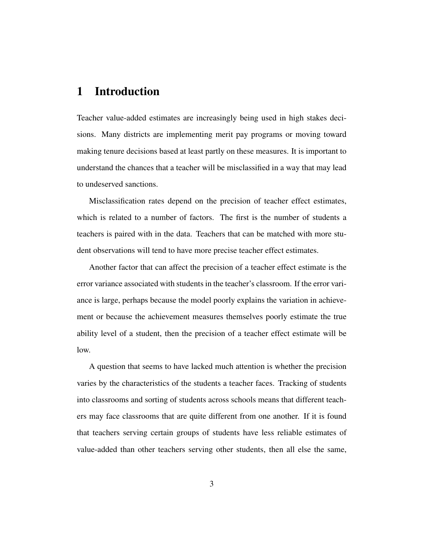## 1 Introduction

Teacher value-added estimates are increasingly being used in high stakes decisions. Many districts are implementing merit pay programs or moving toward making tenure decisions based at least partly on these measures. It is important to understand the chances that a teacher will be misclassified in a way that may lead to undeserved sanctions.

Misclassification rates depend on the precision of teacher effect estimates, which is related to a number of factors. The first is the number of students a teachers is paired with in the data. Teachers that can be matched with more student observations will tend to have more precise teacher effect estimates.

Another factor that can affect the precision of a teacher effect estimate is the error variance associated with students in the teacher's classroom. If the error variance is large, perhaps because the model poorly explains the variation in achievement or because the achievement measures themselves poorly estimate the true ability level of a student, then the precision of a teacher effect estimate will be low.

A question that seems to have lacked much attention is whether the precision varies by the characteristics of the students a teacher faces. Tracking of students into classrooms and sorting of students across schools means that different teachers may face classrooms that are quite different from one another. If it is found that teachers serving certain groups of students have less reliable estimates of value-added than other teachers serving other students, then all else the same,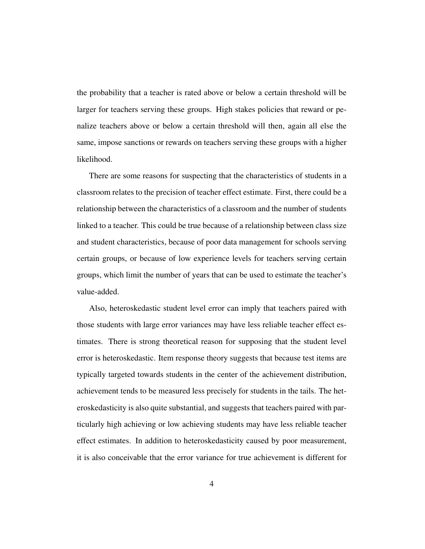the probability that a teacher is rated above or below a certain threshold will be larger for teachers serving these groups. High stakes policies that reward or penalize teachers above or below a certain threshold will then, again all else the same, impose sanctions or rewards on teachers serving these groups with a higher likelihood.

There are some reasons for suspecting that the characteristics of students in a classroom relates to the precision of teacher effect estimate. First, there could be a relationship between the characteristics of a classroom and the number of students linked to a teacher. This could be true because of a relationship between class size and student characteristics, because of poor data management for schools serving certain groups, or because of low experience levels for teachers serving certain groups, which limit the number of years that can be used to estimate the teacher's value-added.

Also, heteroskedastic student level error can imply that teachers paired with those students with large error variances may have less reliable teacher effect estimates. There is strong theoretical reason for supposing that the student level error is heteroskedastic. Item response theory suggests that because test items are typically targeted towards students in the center of the achievement distribution, achievement tends to be measured less precisely for students in the tails. The heteroskedasticity is also quite substantial, and suggests that teachers paired with particularly high achieving or low achieving students may have less reliable teacher effect estimates. In addition to heteroskedasticity caused by poor measurement, it is also conceivable that the error variance for true achievement is different for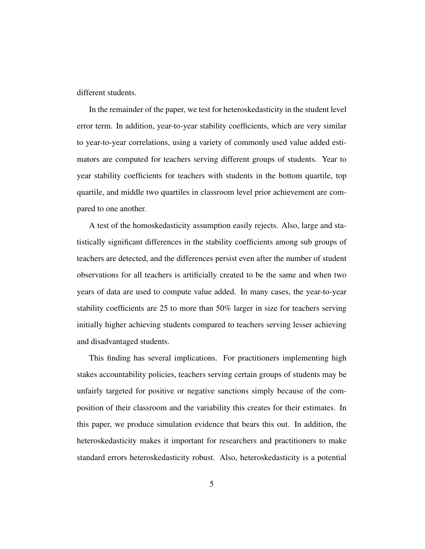different students.

In the remainder of the paper, we test for heteroskedasticity in the student level error term. In addition, year-to-year stability coefficients, which are very similar to year-to-year correlations, using a variety of commonly used value added estimators are computed for teachers serving different groups of students. Year to year stability coefficients for teachers with students in the bottom quartile, top quartile, and middle two quartiles in classroom level prior achievement are compared to one another.

A test of the homoskedasticity assumption easily rejects. Also, large and statistically significant differences in the stability coefficients among sub groups of teachers are detected, and the differences persist even after the number of student observations for all teachers is artificially created to be the same and when two years of data are used to compute value added. In many cases, the year-to-year stability coefficients are 25 to more than 50% larger in size for teachers serving initially higher achieving students compared to teachers serving lesser achieving and disadvantaged students.

This finding has several implications. For practitioners implementing high stakes accountability policies, teachers serving certain groups of students may be unfairly targeted for positive or negative sanctions simply because of the composition of their classroom and the variability this creates for their estimates. In this paper, we produce simulation evidence that bears this out. In addition, the heteroskedasticity makes it important for researchers and practitioners to make standard errors heteroskedasticity robust. Also, heteroskedasticity is a potential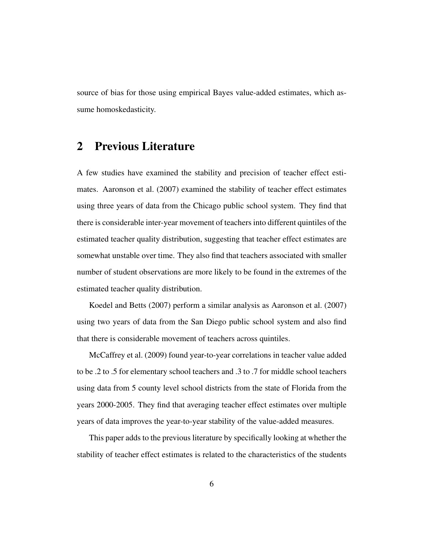source of bias for those using empirical Bayes value-added estimates, which assume homoskedasticity.

## 2 Previous Literature

A few studies have examined the stability and precision of teacher effect estimates. Aaronson et al. (2007) examined the stability of teacher effect estimates using three years of data from the Chicago public school system. They find that there is considerable inter-year movement of teachers into different quintiles of the estimated teacher quality distribution, suggesting that teacher effect estimates are somewhat unstable over time. They also find that teachers associated with smaller number of student observations are more likely to be found in the extremes of the estimated teacher quality distribution.

Koedel and Betts (2007) perform a similar analysis as Aaronson et al. (2007) using two years of data from the San Diego public school system and also find that there is considerable movement of teachers across quintiles.

McCaffrey et al. (2009) found year-to-year correlations in teacher value added to be .2 to .5 for elementary school teachers and .3 to .7 for middle school teachers using data from 5 county level school districts from the state of Florida from the years 2000-2005. They find that averaging teacher effect estimates over multiple years of data improves the year-to-year stability of the value-added measures.

This paper adds to the previous literature by specifically looking at whether the stability of teacher effect estimates is related to the characteristics of the students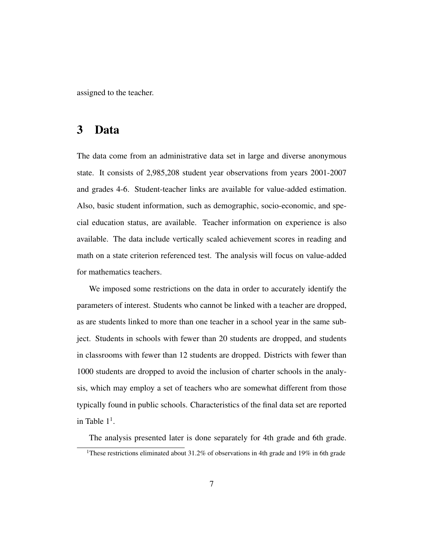assigned to the teacher.

## 3 Data

The data come from an administrative data set in large and diverse anonymous state. It consists of 2,985,208 student year observations from years 2001-2007 and grades 4-6. Student-teacher links are available for value-added estimation. Also, basic student information, such as demographic, socio-economic, and special education status, are available. Teacher information on experience is also available. The data include vertically scaled achievement scores in reading and math on a state criterion referenced test. The analysis will focus on value-added for mathematics teachers.

We imposed some restrictions on the data in order to accurately identify the parameters of interest. Students who cannot be linked with a teacher are dropped, as are students linked to more than one teacher in a school year in the same subject. Students in schools with fewer than 20 students are dropped, and students in classrooms with fewer than 12 students are dropped. Districts with fewer than 1000 students are dropped to avoid the inclusion of charter schools in the analysis, which may employ a set of teachers who are somewhat different from those typically found in public schools. Characteristics of the final data set are reported in Table  $1<sup>1</sup>$ .

The analysis presented later is done separately for 4th grade and 6th grade.

<sup>&</sup>lt;sup>1</sup>These restrictions eliminated about 31.2% of observations in 4th grade and 19% in 6th grade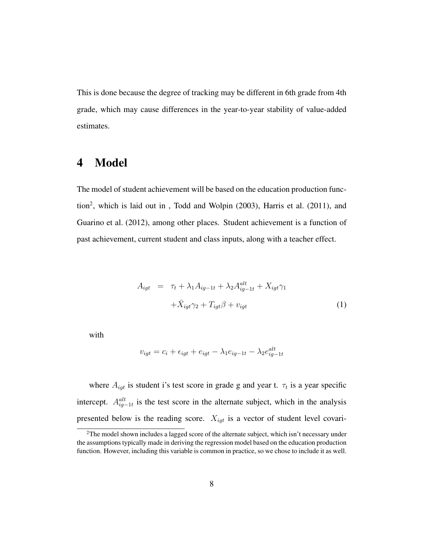This is done because the degree of tracking may be different in 6th grade from 4th grade, which may cause differences in the year-to-year stability of value-added estimates.

## 4 Model

The model of student achievement will be based on the education production function<sup>2</sup>, which is laid out in, Todd and Wolpin (2003), Harris et al. (2011), and Guarino et al. (2012), among other places. Student achievement is a function of past achievement, current student and class inputs, along with a teacher effect.

$$
A_{igt} = \tau_t + \lambda_1 A_{ig-1t} + \lambda_2 A_{ig-1t}^{alt} + X_{igt} \gamma_1
$$

$$
+ \bar{X}_{igt} \gamma_2 + T_{igt} \beta + v_{igt}
$$
(1)

with

$$
v_{igt} = c_i + \epsilon_{igt} + e_{igt} - \lambda_1 e_{ig-1t} - \lambda_2 e_{ig-1t}^{alt}
$$

where  $A_{igt}$  is student i's test score in grade g and year t.  $\tau_t$  is a year specific intercept.  $A_{ig-1t}^{alt}$  is the test score in the alternate subject, which in the analysis presented below is the reading score.  $X_{igt}$  is a vector of student level covari-

 $2$ The model shown includes a lagged score of the alternate subject, which isn't necessary under the assumptions typically made in deriving the regression model based on the education production function. However, including this variable is common in practice, so we chose to include it as well.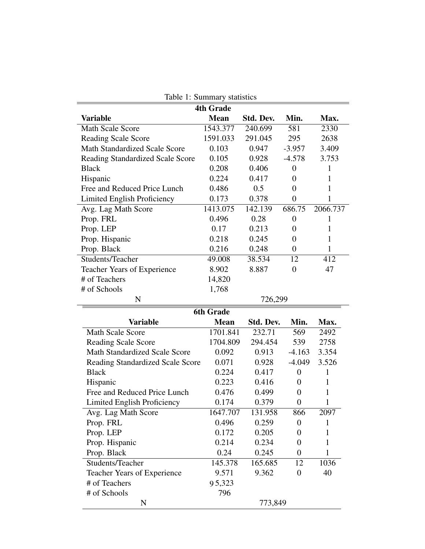|                                         | <b>4th Grade</b> |           |                  |          |
|-----------------------------------------|------------------|-----------|------------------|----------|
| <b>Variable</b>                         | <b>Mean</b>      | Std. Dev. | Min.             | Max.     |
| <b>Math Scale Score</b>                 | 1543.377         | 240.699   | 581              | 2330     |
| <b>Reading Scale Score</b>              | 1591.033         | 291.045   | 295              | 2638     |
| <b>Math Standardized Scale Score</b>    | 0.103            | 0.947     | $-3.957$         | 3.409    |
| <b>Reading Standardized Scale Score</b> | 0.105            | 0.928     | $-4.578$         | 3.753    |
| <b>Black</b>                            | 0.208            | 0.406     | $\boldsymbol{0}$ | 1        |
| Hispanic                                | 0.224            | 0.417     | $\theta$         | 1        |
| Free and Reduced Price Lunch            | 0.486            | 0.5       | $\theta$         | 1        |
| Limited English Proficiency             | 0.173            | 0.378     | $\boldsymbol{0}$ | 1        |
| Avg. Lag Math Score                     | 1413.075         | 142.139   | 686.75           | 2066.737 |
| Prop. FRL                               | 0.496            | 0.28      | $\boldsymbol{0}$ | 1        |
| Prop. LEP                               | 0.17             | 0.213     | $\theta$         | 1        |
| Prop. Hispanic                          | 0.218            | 0.245     | $\overline{0}$   | 1        |
| Prop. Black                             | 0.216            | 0.248     | $\theta$         | 1        |
| Students/Teacher                        | 49.008           | 38.534    | 12               | 412      |
| Teacher Years of Experience             | 8.902            | 8.887     | $\mathbf{0}$     | 47       |
| # of Teachers                           | 14,820           |           |                  |          |
| # of Schools                            | 1,768            |           |                  |          |
| N                                       |                  | 726,299   |                  |          |
|                                         | <b>6th Grade</b> |           |                  |          |
| <b>Variable</b>                         | <b>Mean</b>      | Std. Dev. | Min.             | Max.     |
| <b>Math Scale Score</b>                 | 1701.841         | 232.71    | 569              | 2492     |
| <b>Reading Scale Score</b>              | 1704.809         | 294.454   | 539              | 2758     |
| <b>Math Standardized Scale Score</b>    | 0.092            | 0.913     | $-4.163$         | 3.354    |
| <b>Reading Standardized Scale Score</b> | 0.071            | 0.928     | $-4.049$         | 3.526    |
| <b>Black</b>                            | 0.224            | 0.417     | $\boldsymbol{0}$ | 1        |
| Hispanic                                | 0.223            | 0.416     | $\boldsymbol{0}$ | 1        |
| Free and Reduced Price Lunch            | 0.476            | 0.499     | $\boldsymbol{0}$ |          |
| <b>Limited English Proficiency</b>      | 0.174            | 0.379     | $\overline{0}$   |          |
| Avg. Lag Math Score                     | 1647.707         | 131.958   | 866              | 2097     |
|                                         |                  |           |                  |          |
| Prop. FRL                               | 0.496            | 0.259     | $\boldsymbol{0}$ |          |
|                                         | 0.172            | 0.205     | $\boldsymbol{0}$ |          |
| Prop. LEP                               |                  |           | $\boldsymbol{0}$ | 1        |
| Prop. Hispanic                          | 0.214            | 0.234     | $\boldsymbol{0}$ |          |
| Prop. Black                             | 0.24             | 0.245     |                  |          |
| Students/Teacher                        | 145.378          | 165.685   | 12               | 1036     |
| Teacher Years of Experience             | 9.571            | 9.362     | $\boldsymbol{0}$ | 40       |
| # of Teachers<br># of Schools           | 95,323<br>796    |           |                  |          |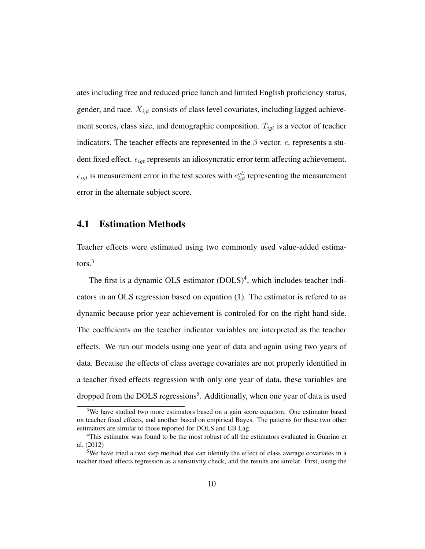ates including free and reduced price lunch and limited English proficiency status, gender, and race.  $\bar{X}_{igt}$  consists of class level covariates, including lagged achievement scores, class size, and demographic composition.  $T_{igt}$  is a vector of teacher indicators. The teacher effects are represented in the  $\beta$  vector.  $c_i$  represents a student fixed effect.  $\epsilon_{iqt}$  represents an idiosyncratic error term affecting achievement.  $e_{igt}$  is measurement error in the test scores with  $e_{igt}^{alt}$  representing the measurement error in the alternate subject score.

### 4.1 Estimation Methods

Teacher effects were estimated using two commonly used value-added estimators.<sup>3</sup>

The first is a dynamic OLS estimator (DOLS)<sup>4</sup>, which includes teacher indicators in an OLS regression based on equation (1). The estimator is refered to as dynamic because prior year achievement is controled for on the right hand side. The coefficients on the teacher indicator variables are interpreted as the teacher effects. We run our models using one year of data and again using two years of data. Because the effects of class average covariates are not properly identified in a teacher fixed effects regression with only one year of data, these variables are dropped from the DOLS regressions<sup>5</sup>. Additionally, when one year of data is used

<sup>&</sup>lt;sup>3</sup>We have studied two more estimators based on a gain score equation. One estimator based on teacher fixed effects, and another based on empirical Bayes. The patterns for these two other estimators are similar to those reported for DOLS and EB Lag.

<sup>&</sup>lt;sup>4</sup>This estimator was found to be the most robust of all the estimators evaluated in Guarino et al. (2012)

<sup>&</sup>lt;sup>5</sup>We have tried a two step method that can identify the effect of class average covariates in a teacher fixed effects regression as a sensitivity check, and the results are similar. First, using the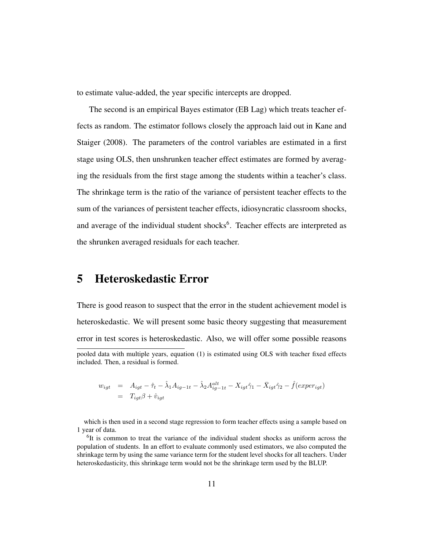to estimate value-added, the year specific intercepts are dropped.

The second is an empirical Bayes estimator (EB Lag) which treats teacher effects as random. The estimator follows closely the approach laid out in Kane and Staiger (2008). The parameters of the control variables are estimated in a first stage using OLS, then unshrunken teacher effect estimates are formed by averaging the residuals from the first stage among the students within a teacher's class. The shrinkage term is the ratio of the variance of persistent teacher effects to the sum of the variances of persistent teacher effects, idiosyncratic classroom shocks, and average of the individual student shocks<sup>6</sup>. Teacher effects are interpreted as the shrunken averaged residuals for each teacher.

## 5 Heteroskedastic Error

There is good reason to suspect that the error in the student achievement model is heteroskedastic. We will present some basic theory suggesting that measurement error in test scores is heteroskedastic. Also, we will offer some possible reasons pooled data with multiple years, equation (1) is estimated using OLS with teacher fixed effects included. Then, a residual is formed.

$$
w_{igt} = A_{igt} - \hat{\tau}_t - \hat{\lambda}_1 A_{ig-1t} - \hat{\lambda}_2 A_{ig-1t}^{alt} - X_{igt}\hat{\gamma}_1 - \bar{X}_{igt}\hat{\gamma}_2 - \hat{f}(exper_{igt})
$$
  
= 
$$
T_{igt}\beta + \hat{v}_{igt}
$$

which is then used in a second stage regression to form teacher effects using a sample based on 1 year of data.

<sup>&</sup>lt;sup>6</sup>It is common to treat the variance of the individual student shocks as uniform across the population of students. In an effort to evaluate commonly used estimators, we also computed the shrinkage term by using the same variance term for the student level shocks for all teachers. Under heteroskedasticity, this shrinkage term would not be the shrinkage term used by the BLUP.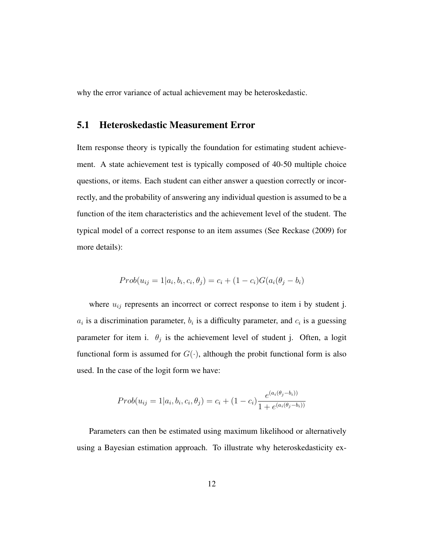why the error variance of actual achievement may be heteroskedastic.

### 5.1 Heteroskedastic Measurement Error

Item response theory is typically the foundation for estimating student achievement. A state achievement test is typically composed of 40-50 multiple choice questions, or items. Each student can either answer a question correctly or incorrectly, and the probability of answering any individual question is assumed to be a function of the item characteristics and the achievement level of the student. The typical model of a correct response to an item assumes (See Reckase (2009) for more details):

$$
Prob(u_{ij} = 1 | a_i, b_i, c_i, \theta_j) = c_i + (1 - c_i)G(a_i(\theta_j - b_i))
$$

where  $u_{ij}$  represents an incorrect or correct response to item i by student j.  $a_i$  is a discrimination parameter,  $b_i$  is a difficulty parameter, and  $c_i$  is a guessing parameter for item i.  $\theta_j$  is the achievement level of student j. Often, a logit functional form is assumed for  $G(\cdot)$ , although the probit functional form is also used. In the case of the logit form we have:

$$
Prob(u_{ij} = 1 | a_i, b_i, c_i, \theta_j) = c_i + (1 - c_i) \frac{e^{(a_i(\theta_j - b_i))}}{1 + e^{(a_i(\theta_j - b_i))}}
$$

Parameters can then be estimated using maximum likelihood or alternatively using a Bayesian estimation approach. To illustrate why heteroskedasticity ex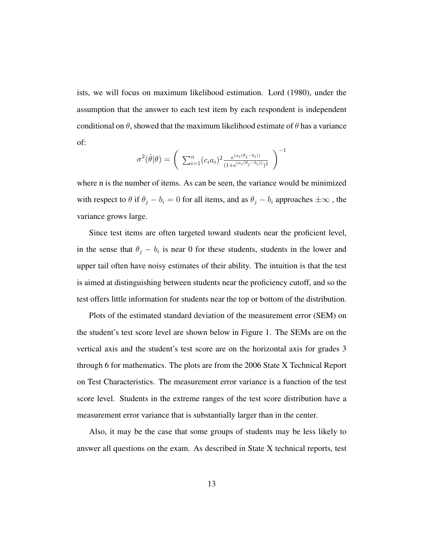ists, we will focus on maximum likelihood estimation. Lord (1980), under the assumption that the answer to each test item by each respondent is independent conditional on  $\theta$ , showed that the maximum likelihood estimate of  $\theta$  has a variance of:

$$
\sigma^{2}(\hat{\theta}|\theta) = \left(\sum_{i=1}^{n} (c_{i}a_{i})^{2} \frac{e^{(a_{i}(\theta_{j}-b_{i}))}}{(1+e^{(a_{i}(\theta_{j}-b_{i}))})^{2}}\right)^{-1}
$$

where n is the number of items. As can be seen, the variance would be minimized with respect to  $\theta$  if  $\theta_j - b_i = 0$  for all items, and as  $\theta_j - b_i$  approaches  $\pm \infty$ , the variance grows large.

Since test items are often targeted toward students near the proficient level, in the sense that  $\theta_j - b_i$  is near 0 for these students, students in the lower and upper tail often have noisy estimates of their ability. The intuition is that the test is aimed at distinguishing between students near the proficiency cutoff, and so the test offers little information for students near the top or bottom of the distribution.

Plots of the estimated standard deviation of the measurement error (SEM) on the student's test score level are shown below in Figure 1. The SEMs are on the vertical axis and the student's test score are on the horizontal axis for grades 3 through 6 for mathematics. The plots are from the 2006 State X Technical Report on Test Characteristics. The measurement error variance is a function of the test score level. Students in the extreme ranges of the test score distribution have a measurement error variance that is substantially larger than in the center.

Also, it may be the case that some groups of students may be less likely to answer all questions on the exam. As described in State X technical reports, test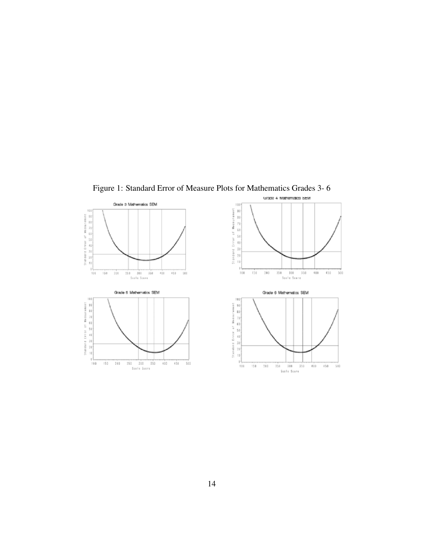

Figure 1: Standard Error of Measure Plots for Mathematics Grades 3- 6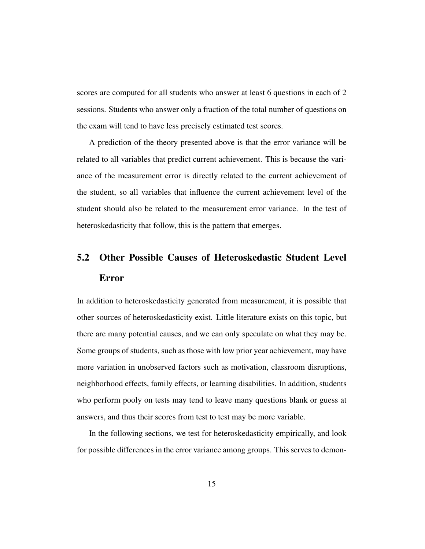scores are computed for all students who answer at least 6 questions in each of 2 sessions. Students who answer only a fraction of the total number of questions on the exam will tend to have less precisely estimated test scores.

A prediction of the theory presented above is that the error variance will be related to all variables that predict current achievement. This is because the variance of the measurement error is directly related to the current achievement of the student, so all variables that influence the current achievement level of the student should also be related to the measurement error variance. In the test of heteroskedasticity that follow, this is the pattern that emerges.

# 5.2 Other Possible Causes of Heteroskedastic Student Level Error

In addition to heteroskedasticity generated from measurement, it is possible that other sources of heteroskedasticity exist. Little literature exists on this topic, but there are many potential causes, and we can only speculate on what they may be. Some groups of students, such as those with low prior year achievement, may have more variation in unobserved factors such as motivation, classroom disruptions, neighborhood effects, family effects, or learning disabilities. In addition, students who perform pooly on tests may tend to leave many questions blank or guess at answers, and thus their scores from test to test may be more variable.

In the following sections, we test for heteroskedasticity empirically, and look for possible differences in the error variance among groups. This serves to demon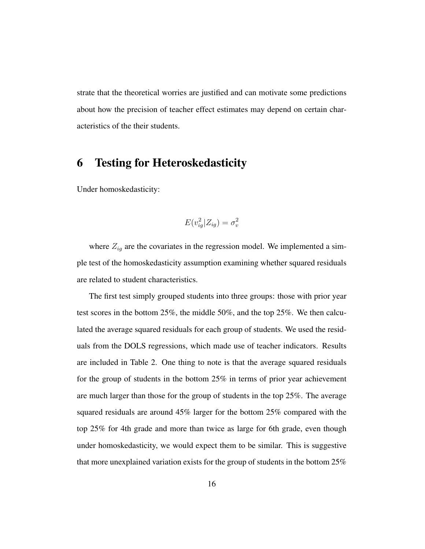strate that the theoretical worries are justified and can motivate some predictions about how the precision of teacher effect estimates may depend on certain characteristics of the their students.

## 6 Testing for Heteroskedasticity

Under homoskedasticity:

$$
E(v_{ig}^2|Z_{ig}) = \sigma_v^2
$$

where  $Z_{ig}$  are the covariates in the regression model. We implemented a simple test of the homoskedasticity assumption examining whether squared residuals are related to student characteristics.

The first test simply grouped students into three groups: those with prior year test scores in the bottom 25%, the middle 50%, and the top 25%. We then calculated the average squared residuals for each group of students. We used the residuals from the DOLS regressions, which made use of teacher indicators. Results are included in Table 2. One thing to note is that the average squared residuals for the group of students in the bottom 25% in terms of prior year achievement are much larger than those for the group of students in the top 25%. The average squared residuals are around 45% larger for the bottom 25% compared with the top 25% for 4th grade and more than twice as large for 6th grade, even though under homoskedasticity, we would expect them to be similar. This is suggestive that more unexplained variation exists for the group of students in the bottom 25%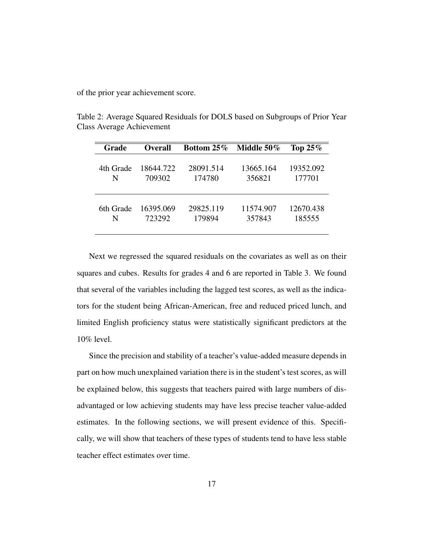of the prior year achievement score.

| Grade     | Overall   | Bottom $25\%$ | Middle 50% | Top $25\%$ |
|-----------|-----------|---------------|------------|------------|
| 4th Grade | 18644.722 | 28091.514     | 13665.164  | 19352.092  |
| N         | 709302    | 174780        | 356821     | 177701     |
| 6th Grade | 16395.069 | 29825.119     | 11574.907  | 12670.438  |
| N         | 723292    | 179894        | 357843     | 185555     |

Table 2: Average Squared Residuals for DOLS based on Subgroups of Prior Year Class Average Achievement

Next we regressed the squared residuals on the covariates as well as on their squares and cubes. Results for grades 4 and 6 are reported in Table 3. We found that several of the variables including the lagged test scores, as well as the indicators for the student being African-American, free and reduced priced lunch, and limited English proficiency status were statistically significant predictors at the 10% level.

Since the precision and stability of a teacher's value-added measure depends in part on how much unexplained variation there is in the student's test scores, as will be explained below, this suggests that teachers paired with large numbers of disadvantaged or low achieving students may have less precise teacher value-added estimates. In the following sections, we will present evidence of this. Specifically, we will show that teachers of these types of students tend to have less stable teacher effect estimates over time.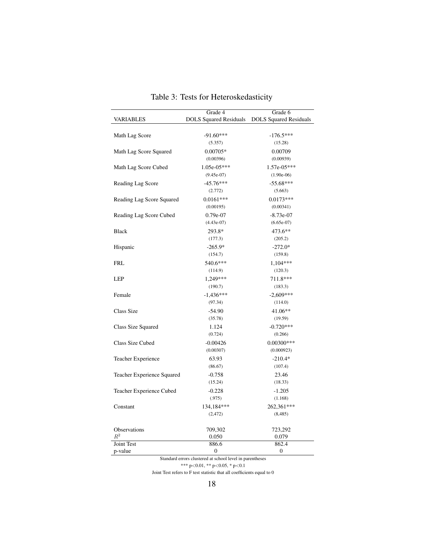|                            | Grade 4                                                  | Grade 6                       |
|----------------------------|----------------------------------------------------------|-------------------------------|
| VARIABLES                  | <b>DOLS</b> Squared Residuals                            | <b>DOLS Squared Residuals</b> |
|                            |                                                          |                               |
| Math Lag Score             | $-91.60***$                                              | $-176.5***$                   |
|                            | (5.357)                                                  | (15.28)                       |
| Math Lag Score Squared     | $0.00705*$                                               | 0.00709                       |
|                            | (0.00396)                                                | (0.00939)                     |
| Math Lag Score Cubed       | 1.05e-05***                                              | $1.57e-05***$                 |
|                            | $(9.45e-07)$                                             | $(1.90e-06)$                  |
| Reading Lag Score          | $-45.76***$                                              | $-55.68***$                   |
|                            | (2.772)                                                  | (5.663)                       |
| Reading Lag Score Squared  | $0.0161***$                                              | $0.0173***$                   |
|                            | (0.00195)                                                | (0.00341)                     |
| Reading Lag Score Cubed    | $0.79e-07$                                               | $-8.73e-07$                   |
|                            | $(4.43e-07)$                                             | $(6.65e-07)$                  |
| <b>Black</b>               | 293.8*                                                   | 473.6**                       |
|                            | (177.3)                                                  | (205.2)                       |
| Hispanic                   | $-265.9*$                                                | $-272.0*$                     |
|                            | (154.7)                                                  | (159.8)                       |
| <b>FRL</b>                 | 540.6***                                                 | $1,104***$                    |
|                            | (114.9)                                                  | (120.3)                       |
| <b>LEP</b>                 | 1,249***                                                 | 711.8***                      |
|                            | (190.7)                                                  | (183.3)                       |
| Female                     | $-1,436***$                                              | $-2,609***$                   |
|                            | (97.34)                                                  | (114.0)                       |
| Class Size                 | $-54.90$                                                 | 41.06**                       |
|                            | (35.78)                                                  | (19.59)                       |
| Class Size Squared         | 1.124                                                    | $-0.720***$                   |
|                            | (0.724)                                                  | (0.266)                       |
| Class Size Cubed           | $-0.00426$                                               | $0.00300***$                  |
|                            | (0.00307)                                                | (0.000923)                    |
| Teacher Experience         | 63.93                                                    | $-210.4*$                     |
|                            | (86.67)                                                  | (107.4)                       |
| Teacher Experience Squared | $-0.758$                                                 | 23.46                         |
|                            | (15.24)                                                  | (18.33)                       |
| Teacher Experience Cubed   | $-0.228$                                                 | $-1.205$                      |
|                            | (.975)                                                   | (1.168)                       |
| Constant                   | 134,184***                                               | 262,361***                    |
|                            | (2, 472)                                                 | (8, 485)                      |
|                            |                                                          |                               |
| Observations               | 709,302                                                  | 723,292                       |
| $R^2$                      | 0.050                                                    | 0.079                         |
| Joint Test                 | 886.6                                                    | 862.4                         |
| p-value                    | $\mathbf{0}$                                             | $\boldsymbol{0}$              |
|                            | Standard errors clustered at school level in parentheses |                               |

# Table 3: Tests for Heteroskedasticity

\*\*\* p<0.01, \*\* p<0.05, \* p<0.1

Joint Test refers to  ${\rm F}$  test statistic that all coefficients equal to  $0$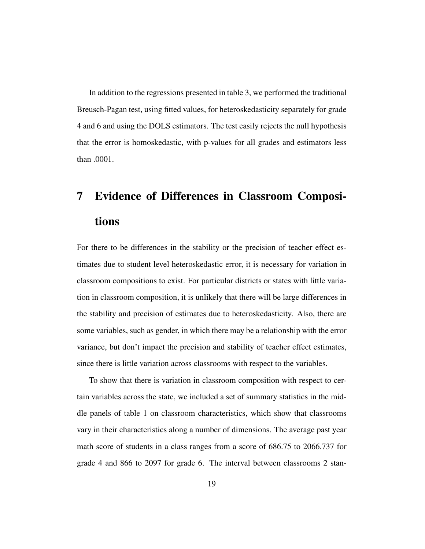In addition to the regressions presented in table 3, we performed the traditional Breusch-Pagan test, using fitted values, for heteroskedasticity separately for grade 4 and 6 and using the DOLS estimators. The test easily rejects the null hypothesis that the error is homoskedastic, with p-values for all grades and estimators less than .0001.

# 7 Evidence of Differences in Classroom Compositions

For there to be differences in the stability or the precision of teacher effect estimates due to student level heteroskedastic error, it is necessary for variation in classroom compositions to exist. For particular districts or states with little variation in classroom composition, it is unlikely that there will be large differences in the stability and precision of estimates due to heteroskedasticity. Also, there are some variables, such as gender, in which there may be a relationship with the error variance, but don't impact the precision and stability of teacher effect estimates, since there is little variation across classrooms with respect to the variables.

To show that there is variation in classroom composition with respect to certain variables across the state, we included a set of summary statistics in the middle panels of table 1 on classroom characteristics, which show that classrooms vary in their characteristics along a number of dimensions. The average past year math score of students in a class ranges from a score of 686.75 to 2066.737 for grade 4 and 866 to 2097 for grade 6. The interval between classrooms 2 stan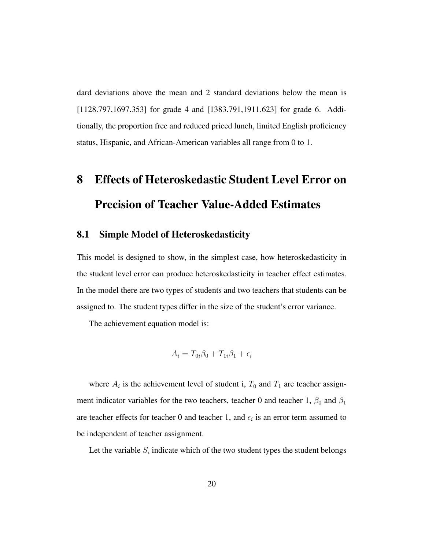dard deviations above the mean and 2 standard deviations below the mean is [1128.797,1697.353] for grade 4 and [1383.791,1911.623] for grade 6. Additionally, the proportion free and reduced priced lunch, limited English proficiency status, Hispanic, and African-American variables all range from 0 to 1.

# 8 Effects of Heteroskedastic Student Level Error on Precision of Teacher Value-Added Estimates

## 8.1 Simple Model of Heteroskedasticity

This model is designed to show, in the simplest case, how heteroskedasticity in the student level error can produce heteroskedasticity in teacher effect estimates. In the model there are two types of students and two teachers that students can be assigned to. The student types differ in the size of the student's error variance.

The achievement equation model is:

$$
A_i = T_{0i}\beta_0 + T_{1i}\beta_1 + \epsilon_i
$$

where  $A_i$  is the achievement level of student i,  $T_0$  and  $T_1$  are teacher assignment indicator variables for the two teachers, teacher 0 and teacher 1,  $\beta_0$  and  $\beta_1$ are teacher effects for teacher 0 and teacher 1, and  $\epsilon_i$  is an error term assumed to be independent of teacher assignment.

Let the variable  $S_i$  indicate which of the two student types the student belongs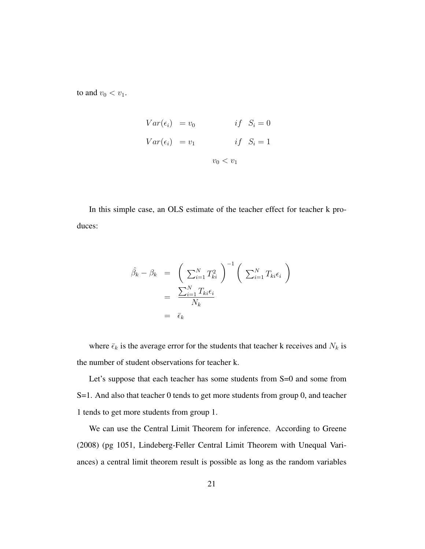to and  $v_0 < v_1$ .

$$
Var(\epsilon_i) = v_0 \t\t if \t S_i = 0
$$
  

$$
Var(\epsilon_i) = v_1 \t\t if \t S_i = 1
$$
  

$$
v_0 < v_1
$$

In this simple case, an OLS estimate of the teacher effect for teacher k produces:

$$
\hat{\beta_k} - \beta_k = \left(\sum_{i=1}^N T_{ki}^2\right)^{-1} \left(\sum_{i=1}^N T_{ki} \epsilon_i\right)
$$

$$
= \frac{\sum_{i=1}^N T_{ki} \epsilon_i}{N_k}
$$

$$
= \bar{\epsilon}_k
$$

where  $\bar{\epsilon}_k$  is the average error for the students that teacher k receives and  $N_k$  is the number of student observations for teacher k.

Let's suppose that each teacher has some students from S=0 and some from S=1. And also that teacher 0 tends to get more students from group 0, and teacher 1 tends to get more students from group 1.

We can use the Central Limit Theorem for inference. According to Greene (2008) (pg 1051, Lindeberg-Feller Central Limit Theorem with Unequal Variances) a central limit theorem result is possible as long as the random variables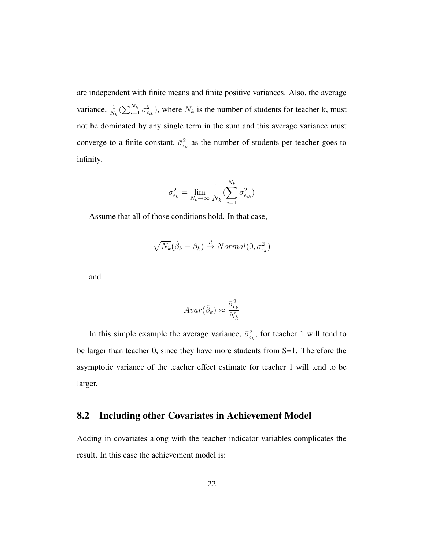are independent with finite means and finite positive variances. Also, the average variance,  $\frac{1}{N_k}(\sum_{i=1}^{N_k} \sigma_{\epsilon_{ik}}^2)$ , where  $N_k$  is the number of students for teacher k, must not be dominated by any single term in the sum and this average variance must converge to a finite constant,  $\bar{\sigma}_{\epsilon_k}^2$  as the number of students per teacher goes to infinity.

$$
\bar{\sigma}_{\epsilon_k}^2 = \lim_{N_k \to \infty} \frac{1}{N_k} \left( \sum_{i=1}^{N_k} \sigma_{\epsilon_{ik}}^2 \right)
$$

Assume that all of those conditions hold. In that case,

$$
\sqrt{N_k}(\hat{\beta}_k - \beta_k) \stackrel{d}{\to} Normal(0, \bar{\sigma}_{\epsilon_k}^2)
$$

and

$$
Avar(\hat{\beta}_k) \approx \frac{\bar{\sigma}_{\epsilon_k}^2}{N_k}
$$

In this simple example the average variance,  $\bar{\sigma}_{\epsilon_k}^2$ , for teacher 1 will tend to be larger than teacher 0, since they have more students from S=1. Therefore the asymptotic variance of the teacher effect estimate for teacher 1 will tend to be larger.

### 8.2 Including other Covariates in Achievement Model

Adding in covariates along with the teacher indicator variables complicates the result. In this case the achievement model is: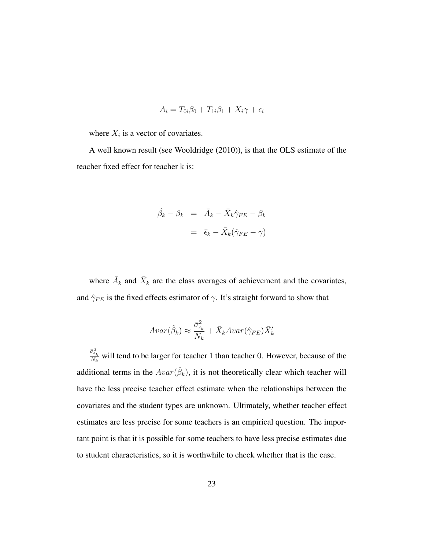$$
A_i = T_{0i}\beta_0 + T_{1i}\beta_1 + X_i\gamma + \epsilon_i
$$

where  $X_i$  is a vector of covariates.

A well known result (see Wooldridge (2010)), is that the OLS estimate of the teacher fixed effect for teacher k is:

$$
\hat{\beta}_k - \beta_k = \bar{A}_k - \bar{X}_k \hat{\gamma}_{FE} - \beta_k
$$

$$
= \bar{\epsilon}_k - \bar{X}_k (\hat{\gamma}_{FE} - \gamma)
$$

where  $\bar{A}_k$  and  $\bar{X}_k$  are the class averages of achievement and the covariates, and  $\hat{\gamma}_{FE}$  is the fixed effects estimator of  $\gamma$ . It's straight forward to show that

$$
Avar(\hat{\beta}_k) \approx \frac{\bar{\sigma}_{\epsilon_k}^2}{N_k} + \bar{X}_k Avar(\hat{\gamma}_{FE}) \bar{X}_k'
$$

 $\bar{\sigma}^2_{\epsilon_k}$  $\frac{\partial \epsilon_k}{\partial k}$  will tend to be larger for teacher 1 than teacher 0. However, because of the additional terms in the  $Avar(\hat{\beta}_k)$ , it is not theoretically clear which teacher will have the less precise teacher effect estimate when the relationships between the covariates and the student types are unknown. Ultimately, whether teacher effect estimates are less precise for some teachers is an empirical question. The important point is that it is possible for some teachers to have less precise estimates due to student characteristics, so it is worthwhile to check whether that is the case.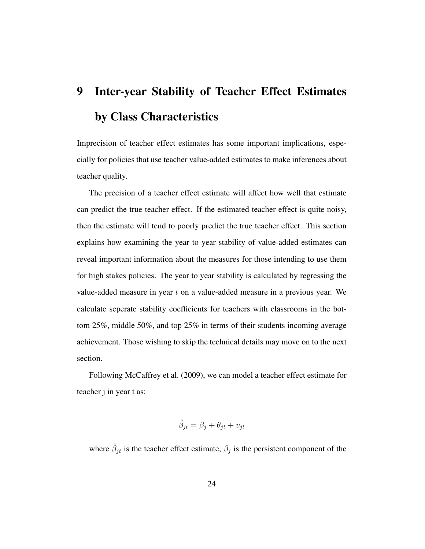# 9 Inter-year Stability of Teacher Effect Estimates by Class Characteristics

Imprecision of teacher effect estimates has some important implications, especially for policies that use teacher value-added estimates to make inferences about teacher quality.

The precision of a teacher effect estimate will affect how well that estimate can predict the true teacher effect. If the estimated teacher effect is quite noisy, then the estimate will tend to poorly predict the true teacher effect. This section explains how examining the year to year stability of value-added estimates can reveal important information about the measures for those intending to use them for high stakes policies. The year to year stability is calculated by regressing the value-added measure in year t on a value-added measure in a previous year. We calculate seperate stability coefficients for teachers with classrooms in the bottom 25%, middle 50%, and top 25% in terms of their students incoming average achievement. Those wishing to skip the technical details may move on to the next section.

Following McCaffrey et al. (2009), we can model a teacher effect estimate for teacher j in year t as:

$$
\hat{\beta}_{jt} = \beta_j + \theta_{jt} + v_{jt}
$$

where  $\hat{\beta}_{jt}$  is the teacher effect estimate,  $\beta_j$  is the persistent component of the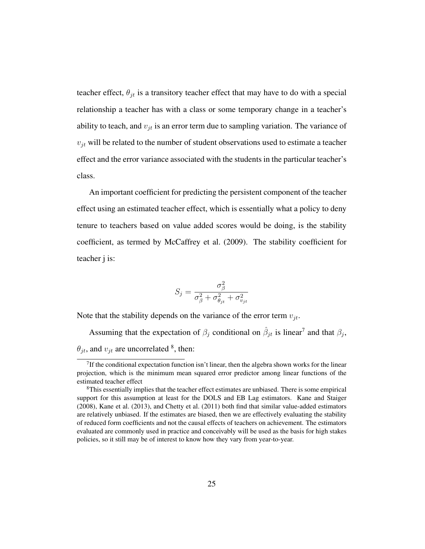teacher effect,  $\theta_{jt}$  is a transitory teacher effect that may have to do with a special relationship a teacher has with a class or some temporary change in a teacher's ability to teach, and  $v_{it}$  is an error term due to sampling variation. The variance of  $v_{jt}$  will be related to the number of student observations used to estimate a teacher effect and the error variance associated with the students in the particular teacher's class.

An important coefficient for predicting the persistent component of the teacher effect using an estimated teacher effect, which is essentially what a policy to deny tenure to teachers based on value added scores would be doing, is the stability coefficient, as termed by McCaffrey et al. (2009). The stability coefficient for teacher j is:

$$
S_j = \frac{\sigma_{\beta}^2}{\sigma_{\beta}^2 + \sigma_{\theta_{jt}}^2 + \sigma_{v_{jt}}^2}
$$

Note that the stability depends on the variance of the error term  $v_{jt}$ .

Assuming that the expectation of  $\beta_j$  conditional on  $\hat{\beta}_{jt}$  is linear<sup>7</sup> and that  $\beta_j$ ,  $\theta_{jt}$ , and  $v_{jt}$  are uncorrelated <sup>8</sup>, then:

<sup>&</sup>lt;sup>7</sup>If the conditional expectation function isn't linear, then the algebra shown works for the linear projection, which is the minimum mean squared error predictor among linear functions of the estimated teacher effect

<sup>&</sup>lt;sup>8</sup>This essentially implies that the teacher effect estimates are unbiased. There is some empirical support for this assumption at least for the DOLS and EB Lag estimators. Kane and Staiger (2008), Kane et al. (2013), and Chetty et al. (2011) both find that similar value-added estimators are relatively unbiased. If the estimates are biased, then we are effectively evaluating the stability of reduced form coefficients and not the causal effects of teachers on achievement. The estimators evaluated are commonly used in practice and conceivably will be used as the basis for high stakes policies, so it still may be of interest to know how they vary from year-to-year.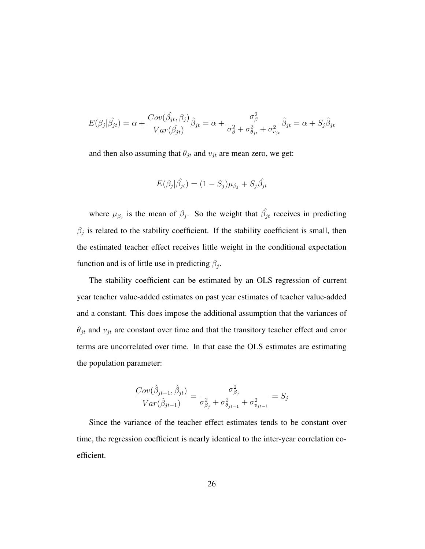$$
E(\beta_j|\hat{\beta}_{jt}) = \alpha + \frac{Cov(\hat{\beta}_{jt}, \beta_j)}{Var(\hat{\beta}_{jt})}\hat{\beta}_{jt} = \alpha + \frac{\sigma_{\beta}^2}{\sigma_{\beta}^2 + \sigma_{\theta_{jt}}^2 + \sigma_{v_{jt}}^2}\hat{\beta}_{jt} = \alpha + S_j\hat{\beta}_{jt}
$$

and then also assuming that  $\theta_{jt}$  and  $v_{jt}$  are mean zero, we get:

$$
E(\beta_j|\hat{\beta}_{jt}) = (1 - S_j)\mu_{\beta_j} + S_j\hat{\beta}_{jt}
$$

where  $\mu_{\beta_j}$  is the mean of  $\beta_j$ . So the weight that  $\hat{\beta_j}$  receives in predicting  $\beta_j$  is related to the stability coefficient. If the stability coefficient is small, then the estimated teacher effect receives little weight in the conditional expectation function and is of little use in predicting  $\beta_j$ .

The stability coefficient can be estimated by an OLS regression of current year teacher value-added estimates on past year estimates of teacher value-added and a constant. This does impose the additional assumption that the variances of  $\theta_{jt}$  and  $v_{jt}$  are constant over time and that the transitory teacher effect and error terms are uncorrelated over time. In that case the OLS estimates are estimating the population parameter:

$$
\frac{Cov(\hat{\beta}_{jt-1}, \hat{\beta}_{jt})}{Var(\hat{\beta}_{jt-1})} = \frac{\sigma_{\beta_j}^2}{\sigma_{\beta_j}^2 + \sigma_{\theta_{jt-1}}^2 + \sigma_{v_{jt-1}}^2} = S_j
$$

Since the variance of the teacher effect estimates tends to be constant over time, the regression coefficient is nearly identical to the inter-year correlation coefficient.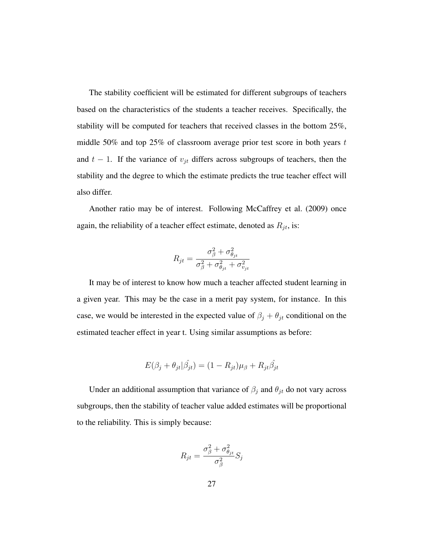The stability coefficient will be estimated for different subgroups of teachers based on the characteristics of the students a teacher receives. Specifically, the stability will be computed for teachers that received classes in the bottom 25%, middle 50% and top 25% of classroom average prior test score in both years  $t$ and  $t - 1$ . If the variance of  $v_{jt}$  differs across subgroups of teachers, then the stability and the degree to which the estimate predicts the true teacher effect will also differ.

Another ratio may be of interest. Following McCaffrey et al. (2009) once again, the reliability of a teacher effect estimate, denoted as  $R_{jt}$ , is:

$$
R_{jt} = \frac{\sigma_{\beta}^2 + \sigma_{\theta_{jt}}^2}{\sigma_{\beta}^2 + \sigma_{\theta_{jt}}^2 + \sigma_{v_{jt}}^2}
$$

It may be of interest to know how much a teacher affected student learning in a given year. This may be the case in a merit pay system, for instance. In this case, we would be interested in the expected value of  $\beta_j + \theta_{jt}$  conditional on the estimated teacher effect in year t. Using similar assumptions as before:

$$
E(\beta_j + \theta_{jt}|\hat{\beta}_{jt}) = (1 - R_{jt})\mu_{\beta} + R_{jt}\hat{\beta}_{jt}
$$

Under an additional assumption that variance of  $\beta_j$  and  $\theta_{jt}$  do not vary across subgroups, then the stability of teacher value added estimates will be proportional to the reliability. This is simply because:

$$
R_{jt} = \frac{\sigma_{\beta}^2 + \sigma_{\theta_{jt}}^2}{\sigma_{\beta}^2} S_j
$$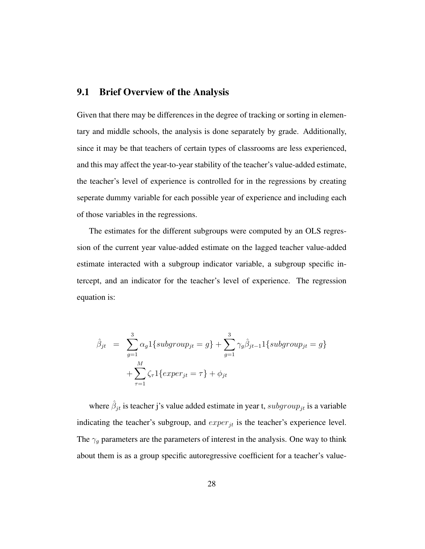## 9.1 Brief Overview of the Analysis

Given that there may be differences in the degree of tracking or sorting in elementary and middle schools, the analysis is done separately by grade. Additionally, since it may be that teachers of certain types of classrooms are less experienced, and this may affect the year-to-year stability of the teacher's value-added estimate, the teacher's level of experience is controlled for in the regressions by creating seperate dummy variable for each possible year of experience and including each of those variables in the regressions.

The estimates for the different subgroups were computed by an OLS regression of the current year value-added estimate on the lagged teacher value-added estimate interacted with a subgroup indicator variable, a subgroup specific intercept, and an indicator for the teacher's level of experience. The regression equation is:

$$
\hat{\beta}_{jt} = \sum_{g=1}^{3} \alpha_g 1 \{ subgroup_{jt} = g \} + \sum_{g=1}^{3} \gamma_g \hat{\beta}_{jt-1} 1 \{ subgroup_{jt} = g \} + \sum_{\tau=1}^{M} \zeta_{\tau} 1 \{ expr_{jt} = \tau \} + \phi_{jt}
$$

where  $\hat{\beta}_{jt}$  is teacher j's value added estimate in year t,  $subgroup_{jt}$  is a variable indicating the teacher's subgroup, and  $\exp(r_{jt})$  is the teacher's experience level. The  $\gamma_g$  parameters are the parameters of interest in the analysis. One way to think about them is as a group specific autoregressive coefficient for a teacher's value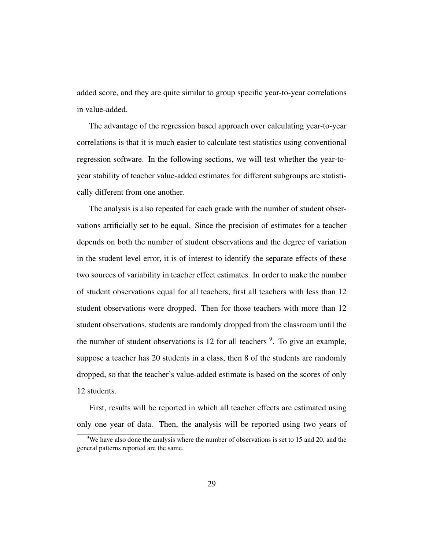added score, and they are quite similar to group specific year-to-year correlations in value-added.

The advantage of the regression based approach over calculating year-to-year correlations is that it is much easier to calculate test statistics using conventional regression software. In the following sections, we will test whether the year-toyear stability of teacher value-added estimates for different subgroups are statistically different from one another.

The analysis is also repeated for each grade with the number of student observations artificially set to be equal. Since the precision of estimates for a teacher depends on both the number of student observations and the degree of variation in the student level error, it is of interest to identify the separate effects of these two sources of variability in teacher effect estimates. In order to make the number of student observations equal for all teachers, first all teachers with less than 12 student observations were dropped. Then for those teachers with more than 12 student observations, students are randomly dropped from the classroom until the the number of student observations is 12 for all teachers  $9$ . To give an example, suppose a teacher has 20 students in a class, then 8 of the students are randomly dropped, so that the teacher's value-added estimate is based on the scores of only 12 students.

First, results will be reported in which all teacher effects are estimated using only one year of data. Then, the analysis will be reported using two years of

 $9$ We have also done the analysis where the number of observations is set to 15 and 20, and the general patterns reported are the same.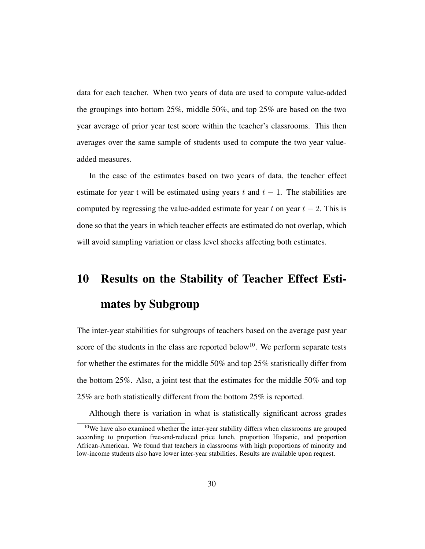data for each teacher. When two years of data are used to compute value-added the groupings into bottom 25%, middle 50%, and top 25% are based on the two year average of prior year test score within the teacher's classrooms. This then averages over the same sample of students used to compute the two year valueadded measures.

In the case of the estimates based on two years of data, the teacher effect estimate for year t will be estimated using years t and  $t - 1$ . The stabilities are computed by regressing the value-added estimate for year t on year  $t - 2$ . This is done so that the years in which teacher effects are estimated do not overlap, which will avoid sampling variation or class level shocks affecting both estimates.

# 10 Results on the Stability of Teacher Effect Estimates by Subgroup

The inter-year stabilities for subgroups of teachers based on the average past year score of the students in the class are reported below<sup>10</sup>. We perform separate tests for whether the estimates for the middle 50% and top 25% statistically differ from the bottom 25%. Also, a joint test that the estimates for the middle 50% and top 25% are both statistically different from the bottom 25% is reported.

Although there is variation in what is statistically significant across grades

<sup>&</sup>lt;sup>10</sup>We have also examined whether the inter-year stability differs when classrooms are grouped according to proportion free-and-reduced price lunch, proportion Hispanic, and proportion African-American. We found that teachers in classrooms with high proportions of minority and low-income students also have lower inter-year stabilities. Results are available upon request.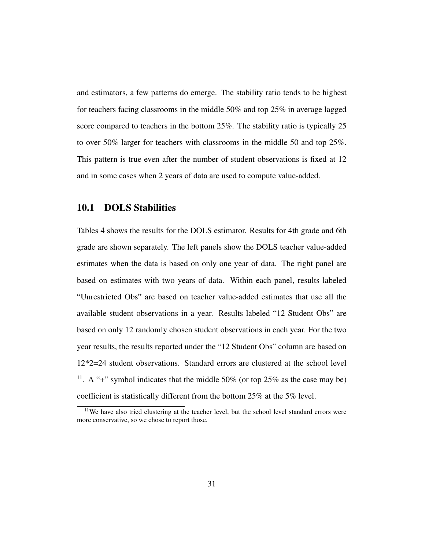and estimators, a few patterns do emerge. The stability ratio tends to be highest for teachers facing classrooms in the middle 50% and top 25% in average lagged score compared to teachers in the bottom 25%. The stability ratio is typically 25 to over 50% larger for teachers with classrooms in the middle 50 and top 25%. This pattern is true even after the number of student observations is fixed at 12 and in some cases when 2 years of data are used to compute value-added.

### 10.1 DOLS Stabilities

Tables 4 shows the results for the DOLS estimator. Results for 4th grade and 6th grade are shown separately. The left panels show the DOLS teacher value-added estimates when the data is based on only one year of data. The right panel are based on estimates with two years of data. Within each panel, results labeled "Unrestricted Obs" are based on teacher value-added estimates that use all the available student observations in a year. Results labeled "12 Student Obs" are based on only 12 randomly chosen student observations in each year. For the two year results, the results reported under the "12 Student Obs" column are based on 12\*2=24 student observations. Standard errors are clustered at the school level <sup>11</sup>. A "+" symbol indicates that the middle 50% (or top  $25\%$  as the case may be) coefficient is statistically different from the bottom 25% at the 5% level.

<sup>&</sup>lt;sup>11</sup>We have also tried clustering at the teacher level, but the school level standard errors were more conservative, so we chose to report those.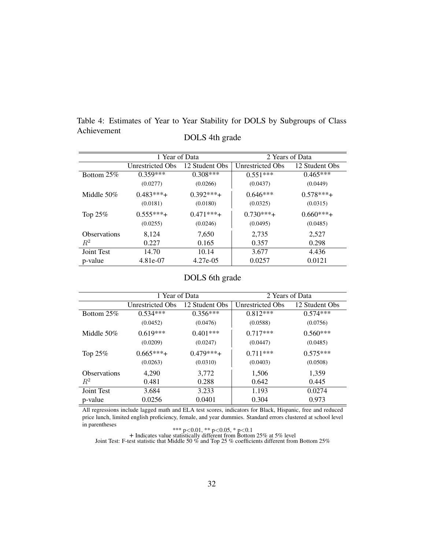Table 4: Estimates of Year to Year Stability for DOLS by Subgroups of Class Achievement DOLS 4th grade

|                     | 1 Year of Data    |                | 2 Years of Data   |                |
|---------------------|-------------------|----------------|-------------------|----------------|
|                     | Unrestricted Obs. | 12 Student Obs | Unrestricted Obs. | 12 Student Obs |
| Bottom 25%          | $0.359***$        | $0.308***$     | $0.551***$        | $0.465***$     |
|                     | (0.0277)          | (0.0266)       | (0.0437)          | (0.0449)       |
| Middle $50\%$       | $0.483***$        | $0.392***+$    | $0.646***$        | $0.578***$     |
|                     | (0.0181)          | (0.0180)       | (0.0325)          | (0.0315)       |
| Top 25%             | $0.555***$        | $0.471***$     | $0.730***$        | $0.660***$     |
|                     | (0.0255)          | (0.0246)       | (0.0495)          | (0.0485)       |
| <b>Observations</b> | 8,124             | 7,650          | 2,735             | 2,527          |
| $R^2$               | 0.227             | 0.165          | 0.357             | 0.298          |
| Joint Test          | 14.70             | 10.14          | 3.677             | 4.436          |
| p-value             | 4.81e-07          | 4.27e-05       | 0.0257            | 0.0121         |

## DOLS 6th grade

|                     | 1 Year of Data   |                | 2 Years of Data         |                |
|---------------------|------------------|----------------|-------------------------|----------------|
|                     | Unrestricted Obs | 12 Student Obs | <b>Unrestricted Obs</b> | 12 Student Obs |
| Bottom 25%          | $0.534***$       | $0.356***$     | $0.812***$              | $0.574***$     |
|                     | (0.0452)         | (0.0476)       | (0.0588)                | (0.0756)       |
| Middle $50\%$       | $0.619***$       | $0.401***$     | $0.717***$              | $0.560***$     |
|                     | (0.0209)         | (0.0247)       | (0.0447)                | (0.0485)       |
| Top $25%$           | $0.665***$       | $0.479***$     | $0.711***$              | $0.575***$     |
|                     | (0.0263)         | (0.0310)       | (0.0403)                | (0.0508)       |
| <b>Observations</b> | 4,290            | 3,772          | 1,506                   | 1,359          |
| $\,R^2$             | 0.481            | 0.288          | 0.642                   | 0.445          |
| Joint Test          | 3.684            | 3.233          | 1.193                   | 0.0274         |
| p-value             | 0.0256           | 0.0401         | 0.304                   | 0.973          |

All regressions include lagged math and ELA test scores, indicators for Black, Hispanic, free and reduced price lunch, limited english proficiency, female, and year dummies. Standard errors clustered at school level in parentheses

\*\*\* p<0.01, \*\* p<0.05, \* p<0.1 + Indicates value statistically different from Bottom 25% at 5% level Joint Test: F-test statistic that Middle 50 % and Top 25 % coefficients different from Bottom 25%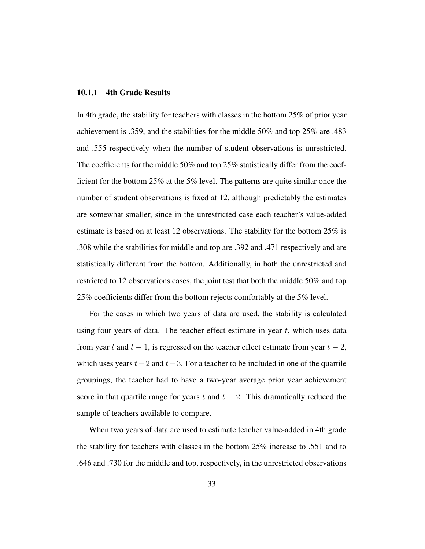#### 10.1.1 4th Grade Results

In 4th grade, the stability for teachers with classes in the bottom 25% of prior year achievement is .359, and the stabilities for the middle 50% and top 25% are .483 and .555 respectively when the number of student observations is unrestricted. The coefficients for the middle 50% and top 25% statistically differ from the coefficient for the bottom 25% at the 5% level. The patterns are quite similar once the number of student observations is fixed at 12, although predictably the estimates are somewhat smaller, since in the unrestricted case each teacher's value-added estimate is based on at least 12 observations. The stability for the bottom 25% is .308 while the stabilities for middle and top are .392 and .471 respectively and are statistically different from the bottom. Additionally, in both the unrestricted and restricted to 12 observations cases, the joint test that both the middle 50% and top 25% coefficients differ from the bottom rejects comfortably at the 5% level.

For the cases in which two years of data are used, the stability is calculated using four years of data. The teacher effect estimate in year  $t$ , which uses data from year t and  $t - 1$ , is regressed on the teacher effect estimate from year  $t - 2$ , which uses years  $t-2$  and  $t-3$ . For a teacher to be included in one of the quartile groupings, the teacher had to have a two-year average prior year achievement score in that quartile range for years t and  $t - 2$ . This dramatically reduced the sample of teachers available to compare.

When two years of data are used to estimate teacher value-added in 4th grade the stability for teachers with classes in the bottom 25% increase to .551 and to .646 and .730 for the middle and top, respectively, in the unrestricted observations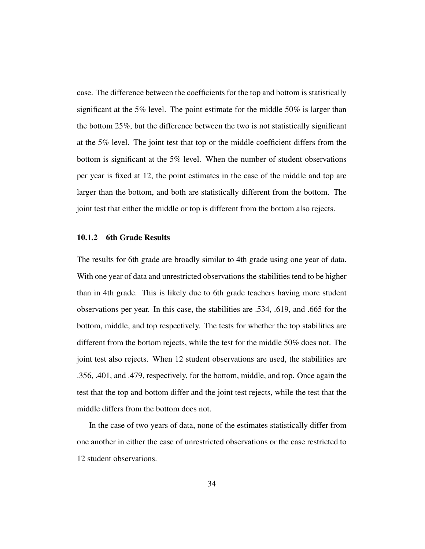case. The difference between the coefficients for the top and bottom is statistically significant at the 5% level. The point estimate for the middle 50% is larger than the bottom 25%, but the difference between the two is not statistically significant at the 5% level. The joint test that top or the middle coefficient differs from the bottom is significant at the 5% level. When the number of student observations per year is fixed at 12, the point estimates in the case of the middle and top are larger than the bottom, and both are statistically different from the bottom. The joint test that either the middle or top is different from the bottom also rejects.

#### 10.1.2 6th Grade Results

The results for 6th grade are broadly similar to 4th grade using one year of data. With one year of data and unrestricted observations the stabilities tend to be higher than in 4th grade. This is likely due to 6th grade teachers having more student observations per year. In this case, the stabilities are .534, .619, and .665 for the bottom, middle, and top respectively. The tests for whether the top stabilities are different from the bottom rejects, while the test for the middle 50% does not. The joint test also rejects. When 12 student observations are used, the stabilities are .356, .401, and .479, respectively, for the bottom, middle, and top. Once again the test that the top and bottom differ and the joint test rejects, while the test that the middle differs from the bottom does not.

In the case of two years of data, none of the estimates statistically differ from one another in either the case of unrestricted observations or the case restricted to 12 student observations.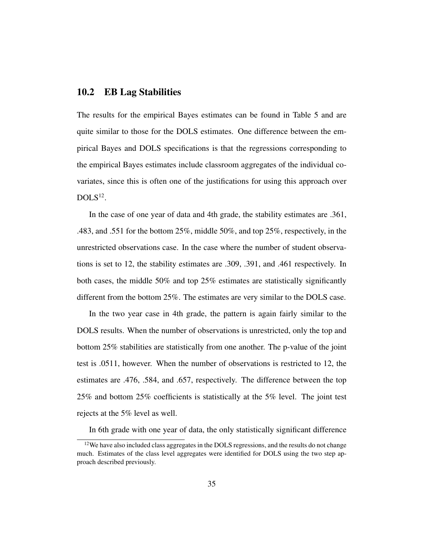### 10.2 EB Lag Stabilities

The results for the empirical Bayes estimates can be found in Table 5 and are quite similar to those for the DOLS estimates. One difference between the empirical Bayes and DOLS specifications is that the regressions corresponding to the empirical Bayes estimates include classroom aggregates of the individual covariates, since this is often one of the justifications for using this approach over  $DOLS^{12}$ .

In the case of one year of data and 4th grade, the stability estimates are .361, .483, and .551 for the bottom 25%, middle 50%, and top 25%, respectively, in the unrestricted observations case. In the case where the number of student observations is set to 12, the stability estimates are .309, .391, and .461 respectively. In both cases, the middle 50% and top 25% estimates are statistically significantly different from the bottom 25%. The estimates are very similar to the DOLS case.

In the two year case in 4th grade, the pattern is again fairly similar to the DOLS results. When the number of observations is unrestricted, only the top and bottom 25% stabilities are statistically from one another. The p-value of the joint test is .0511, however. When the number of observations is restricted to 12, the estimates are .476, .584, and .657, respectively. The difference between the top 25% and bottom 25% coefficients is statistically at the 5% level. The joint test rejects at the 5% level as well.

In 6th grade with one year of data, the only statistically significant difference

 $12$  We have also included class aggregates in the DOLS regressions, and the results do not change much. Estimates of the class level aggregates were identified for DOLS using the two step approach described previously.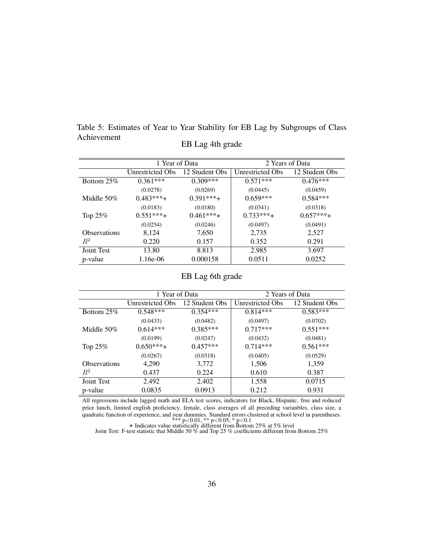|             | Table 5: Estimates of Year to Year Stability for EB Lag by Subgroups of Class |
|-------------|-------------------------------------------------------------------------------|
| Achievement |                                                                               |
|             | EB Lag 4th grade                                                              |

|                     | 1 Year of Data   |                | 2 Years of Data         |                |
|---------------------|------------------|----------------|-------------------------|----------------|
|                     | Unrestricted Obs | 12 Student Obs | <b>Unrestricted Obs</b> | 12 Student Obs |
| Bottom $25\%$       | $0.361***$       | $0.309***$     | $0.571***$              | $0.476***$     |
|                     | (0.0278)         | (0.0269)       | (0.0445)                | (0.0459)       |
| Middle 50%          | $0.483***$       | $0.391***$     | $0.659***$              | $0.584***$     |
|                     | (0.0183)         | (0.0180)       | (0.0341)                | (0.0318)       |
| Top $25\%$          | $0.551***$       | $0.461***$     | $0.733***$              | $0.657***$     |
|                     | (0.0254)         | (0.0246)       | (0.0497)                | (0.0491)       |
| <b>Observations</b> | 8,124            | 7,650          | 2,735                   | 2,527          |
| $R^2$               | 0.220            | 0.157          | 0.352                   | 0.291          |
| Joint Test          | 13.80            | 8.813          | 2.985                   | 3.697          |
| p-value             | 1.16e-06         | 0.000158       | 0.0511                  | 0.0252         |

## EB Lag 6th grade

|                     | 1 Year of Data    |                | 2 Years of Data  |                |
|---------------------|-------------------|----------------|------------------|----------------|
|                     | Unrestricted Obs. | 12 Student Obs | Unrestricted Obs | 12 Student Obs |
| Bottom 25%          | $0.548***$        | $0.354***$     | $0.814***$       | $0.583***$     |
|                     | (0.0433)          | (0.0482)       | (0.0497)         | (0.0702)       |
| Middle 50%          | $0.614***$        | $0.385***$     | $0.717***$       | $0.551***$     |
|                     | (0.0199)          | (0.0247)       | (0.0432)         | (0.0481)       |
| Top 25%             | $0.650***$        | $0.457***$     | $0.714***$       | $0.561***$     |
|                     | (0.0267)          | (0.0318)       | (0.0405)         | (0.0529)       |
| <b>Observations</b> | 4,290             | 3,772          | 1,506            | 1,359          |
| $R^2$               | 0.437             | 0.224          | 0.610            | 0.387          |
| Joint Test          | 2.492             | 2.402          | 1.558            | 0.0715         |
| p-value             | 0.0835            | 0.0913         | 0.212            | 0.931          |

All regressions include lagged math and ELA test scores, indicators for Black, Hispanic, free and reduced price lunch, limited english proficiency, female, class averages of all preceding varianbles, class size, a quadratic function of experience, and year dummies. Standard errors clustered at school level in parentheses.<br>
\*\*\*  $p<0.01$ , \*\*  $p<0.05$ , \*  $p<0.1$ <br>
+ Indicates value statistically different from Bottom 25% at 5% level<br>
J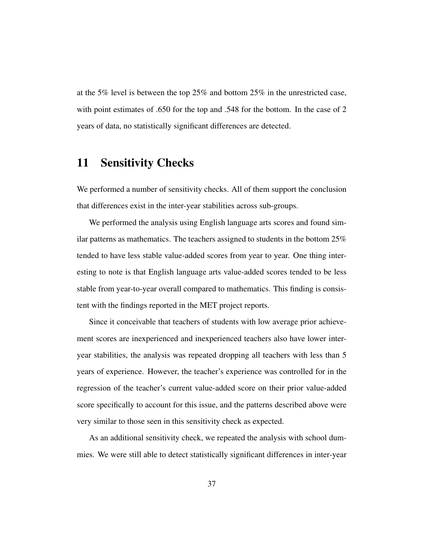at the 5% level is between the top 25% and bottom 25% in the unrestricted case, with point estimates of .650 for the top and .548 for the bottom. In the case of 2 years of data, no statistically significant differences are detected.

## 11 Sensitivity Checks

We performed a number of sensitivity checks. All of them support the conclusion that differences exist in the inter-year stabilities across sub-groups.

We performed the analysis using English language arts scores and found similar patterns as mathematics. The teachers assigned to students in the bottom 25% tended to have less stable value-added scores from year to year. One thing interesting to note is that English language arts value-added scores tended to be less stable from year-to-year overall compared to mathematics. This finding is consistent with the findings reported in the MET project reports.

Since it conceivable that teachers of students with low average prior achievement scores are inexperienced and inexperienced teachers also have lower interyear stabilities, the analysis was repeated dropping all teachers with less than 5 years of experience. However, the teacher's experience was controlled for in the regression of the teacher's current value-added score on their prior value-added score specifically to account for this issue, and the patterns described above were very similar to those seen in this sensitivity check as expected.

As an additional sensitivity check, we repeated the analysis with school dummies. We were still able to detect statistically significant differences in inter-year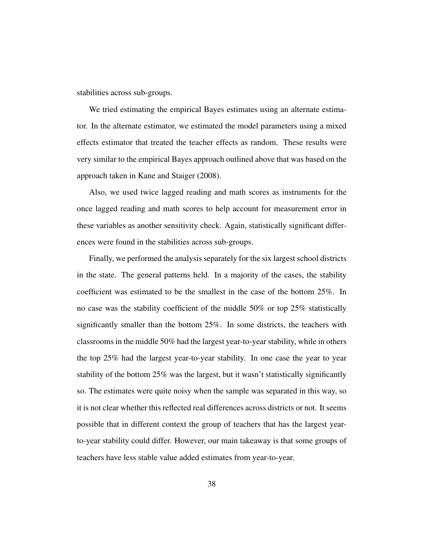stabilities across sub-groups.

We tried estimating the empirical Bayes estimates using an alternate estimator. In the alternate estimator, we estimated the model parameters using a mixed effects estimator that treated the teacher effects as random. These results were very similar to the empirical Bayes approach outlined above that was based on the approach taken in Kane and Staiger (2008).

Also, we used twice lagged reading and math scores as instruments for the once lagged reading and math scores to help account for measurement error in these variables as another sensitivity check. Again, statistically significant differences were found in the stabilities across sub-groups.

Finally, we performed the analysis separately for the six largest school districts in the state. The general patterns held. In a majority of the cases, the stability coefficient was estimated to be the smallest in the case of the bottom 25%. In no case was the stability coefficient of the middle 50% or top 25% statistically significantly smaller than the bottom 25%. In some districts, the teachers with classrooms in the middle 50% had the largest year-to-year stability, while in others the top 25% had the largest year-to-year stability. In one case the year to year stability of the bottom 25% was the largest, but it wasn't statistically significantly so. The estimates were quite noisy when the sample was separated in this way, so it is not clear whether this reflected real differences across districts or not. It seems possible that in different context the group of teachers that has the largest yearto-year stability could differ. However, our main takeaway is that some groups of teachers have less stable value added estimates from year-to-year.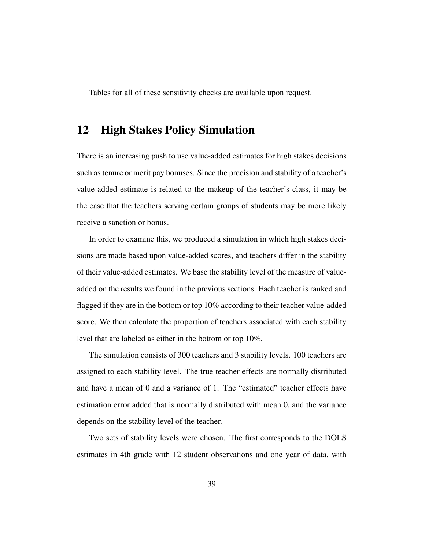Tables for all of these sensitivity checks are available upon request.

## 12 High Stakes Policy Simulation

There is an increasing push to use value-added estimates for high stakes decisions such as tenure or merit pay bonuses. Since the precision and stability of a teacher's value-added estimate is related to the makeup of the teacher's class, it may be the case that the teachers serving certain groups of students may be more likely receive a sanction or bonus.

In order to examine this, we produced a simulation in which high stakes decisions are made based upon value-added scores, and teachers differ in the stability of their value-added estimates. We base the stability level of the measure of valueadded on the results we found in the previous sections. Each teacher is ranked and flagged if they are in the bottom or top 10% according to their teacher value-added score. We then calculate the proportion of teachers associated with each stability level that are labeled as either in the bottom or top 10%.

The simulation consists of 300 teachers and 3 stability levels. 100 teachers are assigned to each stability level. The true teacher effects are normally distributed and have a mean of 0 and a variance of 1. The "estimated" teacher effects have estimation error added that is normally distributed with mean 0, and the variance depends on the stability level of the teacher.

Two sets of stability levels were chosen. The first corresponds to the DOLS estimates in 4th grade with 12 student observations and one year of data, with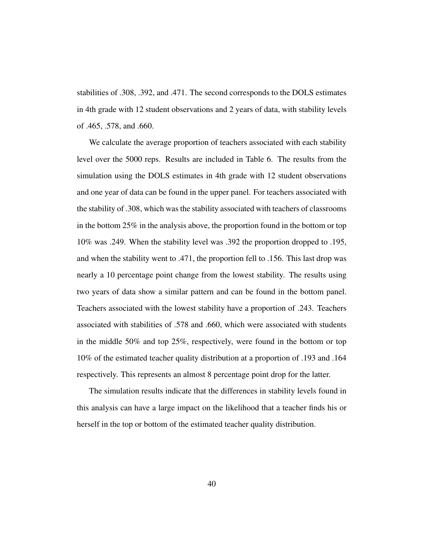stabilities of .308, .392, and .471. The second corresponds to the DOLS estimates in 4th grade with 12 student observations and 2 years of data, with stability levels of .465, .578, and .660.

We calculate the average proportion of teachers associated with each stability level over the 5000 reps. Results are included in Table 6. The results from the simulation using the DOLS estimates in 4th grade with 12 student observations and one year of data can be found in the upper panel. For teachers associated with the stability of .308, which was the stability associated with teachers of classrooms in the bottom 25% in the analysis above, the proportion found in the bottom or top 10% was .249. When the stability level was .392 the proportion dropped to .195, and when the stability went to .471, the proportion fell to .156. This last drop was nearly a 10 percentage point change from the lowest stability. The results using two years of data show a similar pattern and can be found in the bottom panel. Teachers associated with the lowest stability have a proportion of .243. Teachers associated with stabilities of .578 and .660, which were associated with students in the middle 50% and top 25%, respectively, were found in the bottom or top 10% of the estimated teacher quality distribution at a proportion of .193 and .164 respectively. This represents an almost 8 percentage point drop for the latter.

The simulation results indicate that the differences in stability levels found in this analysis can have a large impact on the likelihood that a teacher finds his or herself in the top or bottom of the estimated teacher quality distribution.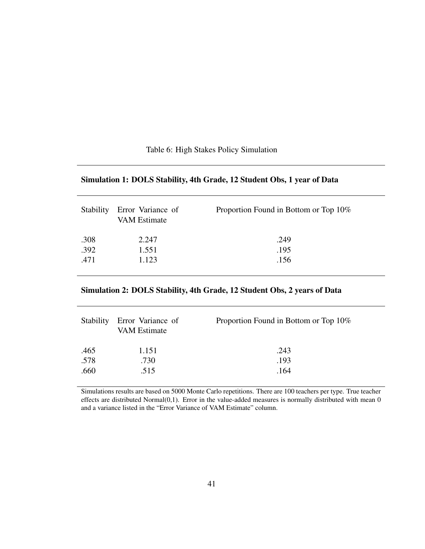## Simulation 1: DOLS Stability, 4th Grade, 12 Student Obs, 1 year of Data

| <b>Stability</b> | Error Variance of<br><b>VAM Estimate</b> | Proportion Found in Bottom or Top 10% |
|------------------|------------------------------------------|---------------------------------------|
| .308             | 2.247                                    | .249                                  |
| .392             | 1.551                                    | .195                                  |
| .471             | 1.123                                    | .156                                  |

## Simulation 2: DOLS Stability, 4th Grade, 12 Student Obs, 2 years of Data

| Stability | Error Variance of<br><b>VAM Estimate</b> | Proportion Found in Bottom or Top 10% |
|-----------|------------------------------------------|---------------------------------------|
| .465      | 1.151                                    | .243                                  |
| .578      | .730                                     | .193                                  |
| .660      | .515                                     | .164                                  |

Simulations results are based on 5000 Monte Carlo repetitions. There are 100 teachers per type. True teacher effects are distributed Normal(0,1). Error in the value-added measures is normally distributed with mean 0 and a variance listed in the "Error Variance of VAM Estimate" column.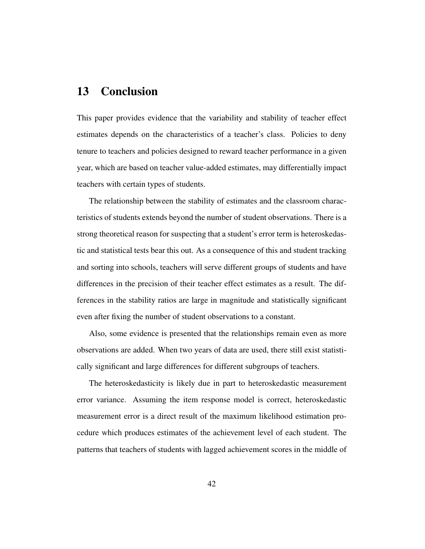## 13 Conclusion

This paper provides evidence that the variability and stability of teacher effect estimates depends on the characteristics of a teacher's class. Policies to deny tenure to teachers and policies designed to reward teacher performance in a given year, which are based on teacher value-added estimates, may differentially impact teachers with certain types of students.

The relationship between the stability of estimates and the classroom characteristics of students extends beyond the number of student observations. There is a strong theoretical reason for suspecting that a student's error term is heteroskedastic and statistical tests bear this out. As a consequence of this and student tracking and sorting into schools, teachers will serve different groups of students and have differences in the precision of their teacher effect estimates as a result. The differences in the stability ratios are large in magnitude and statistically significant even after fixing the number of student observations to a constant.

Also, some evidence is presented that the relationships remain even as more observations are added. When two years of data are used, there still exist statistically significant and large differences for different subgroups of teachers.

The heteroskedasticity is likely due in part to heteroskedastic measurement error variance. Assuming the item response model is correct, heteroskedastic measurement error is a direct result of the maximum likelihood estimation procedure which produces estimates of the achievement level of each student. The patterns that teachers of students with lagged achievement scores in the middle of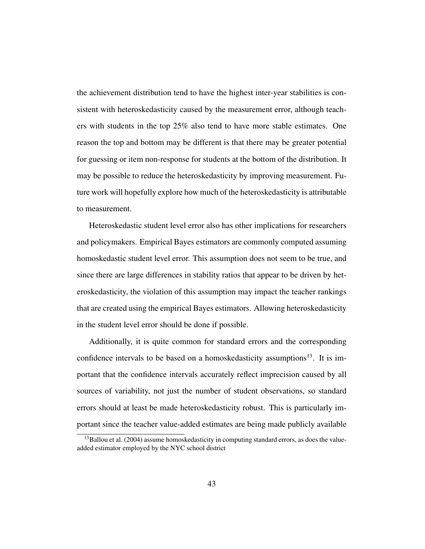the achievement distribution tend to have the highest inter-year stabilities is consistent with heteroskedasticity caused by the measurement error, although teachers with students in the top 25% also tend to have more stable estimates. One reason the top and bottom may be different is that there may be greater potential for guessing or item non-response for students at the bottom of the distribution. It may be possible to reduce the heteroskedasticity by improving measurement. Future work will hopefully explore how much of the heteroskedasticity is attributable to measurement.

Heteroskedastic student level error also has other implications for researchers and policymakers. Empirical Bayes estimators are commonly computed assuming homoskedastic student level error. This assumption does not seem to be true, and since there are large differences in stability ratios that appear to be driven by heteroskedasticity, the violation of this assumption may impact the teacher rankings that are created using the empirical Bayes estimators. Allowing heteroskedasticity in the student level error should be done if possible.

Additionally, it is quite common for standard errors and the corresponding confidence intervals to be based on a homoskedasticity assumptions<sup>13</sup>. It is important that the confidence intervals accurately reflect imprecision caused by all sources of variability, not just the number of student observations, so standard errors should at least be made heteroskedasticity robust. This is particularly important since the teacher value-added estimates are being made publicly available

 $13$ Ballou et al. (2004) assume homoskedasticity in computing standard errors, as does the valueadded estimator employed by the NYC school district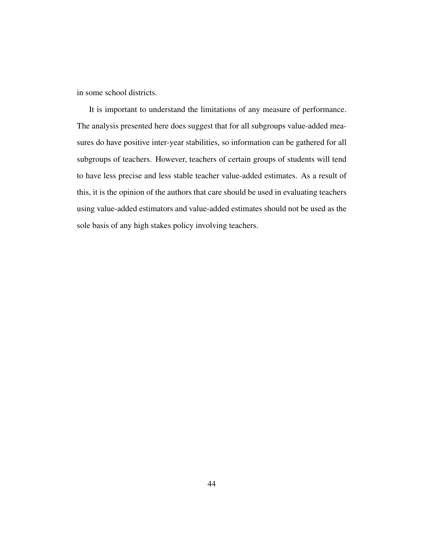in some school districts.

It is important to understand the limitations of any measure of performance. The analysis presented here does suggest that for all subgroups value-added measures do have positive inter-year stabilities, so information can be gathered for all subgroups of teachers. However, teachers of certain groups of students will tend to have less precise and less stable teacher value-added estimates. As a result of this, it is the opinion of the authors that care should be used in evaluating teachers using value-added estimators and value-added estimates should not be used as the sole basis of any high stakes policy involving teachers.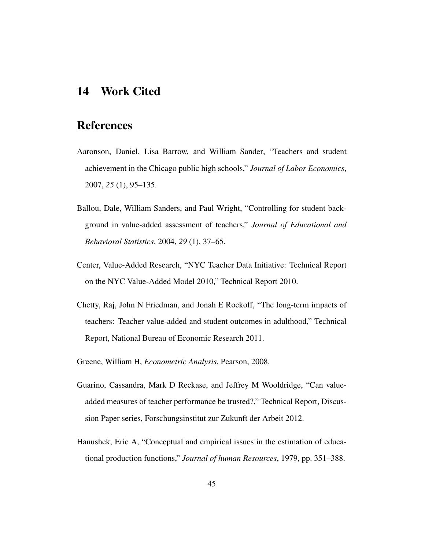## 14 Work Cited

## References

- Aaronson, Daniel, Lisa Barrow, and William Sander, "Teachers and student achievement in the Chicago public high schools," *Journal of Labor Economics*, 2007, *25* (1), 95–135.
- Ballou, Dale, William Sanders, and Paul Wright, "Controlling for student background in value-added assessment of teachers," *Journal of Educational and Behavioral Statistics*, 2004, *29* (1), 37–65.
- Center, Value-Added Research, "NYC Teacher Data Initiative: Technical Report on the NYC Value-Added Model 2010," Technical Report 2010.
- Chetty, Raj, John N Friedman, and Jonah E Rockoff, "The long-term impacts of teachers: Teacher value-added and student outcomes in adulthood," Technical Report, National Bureau of Economic Research 2011.
- Greene, William H, *Econometric Analysis*, Pearson, 2008.
- Guarino, Cassandra, Mark D Reckase, and Jeffrey M Wooldridge, "Can valueadded measures of teacher performance be trusted?," Technical Report, Discussion Paper series, Forschungsinstitut zur Zukunft der Arbeit 2012.
- Hanushek, Eric A, "Conceptual and empirical issues in the estimation of educational production functions," *Journal of human Resources*, 1979, pp. 351–388.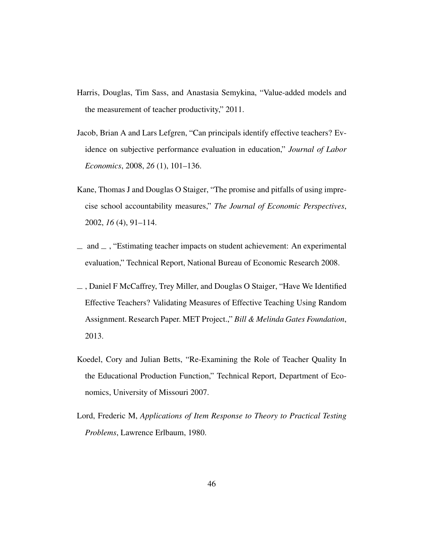- Harris, Douglas, Tim Sass, and Anastasia Semykina, "Value-added models and the measurement of teacher productivity," 2011.
- Jacob, Brian A and Lars Lefgren, "Can principals identify effective teachers? Evidence on subjective performance evaluation in education," *Journal of Labor Economics*, 2008, *26* (1), 101–136.
- Kane, Thomas J and Douglas O Staiger, "The promise and pitfalls of using imprecise school accountability measures," *The Journal of Economic Perspectives*, 2002, *16* (4), 91–114.
- $\Box$  and  $\Box$ , "Estimating teacher impacts on student achievement: An experimental evaluation," Technical Report, National Bureau of Economic Research 2008.
- , Daniel F McCaffrey, Trey Miller, and Douglas O Staiger, "Have We Identified Effective Teachers? Validating Measures of Effective Teaching Using Random Assignment. Research Paper. MET Project.," *Bill & Melinda Gates Foundation*, 2013.
- Koedel, Cory and Julian Betts, "Re-Examining the Role of Teacher Quality In the Educational Production Function," Technical Report, Department of Economics, University of Missouri 2007.
- Lord, Frederic M, *Applications of Item Response to Theory to Practical Testing Problems*, Lawrence Erlbaum, 1980.